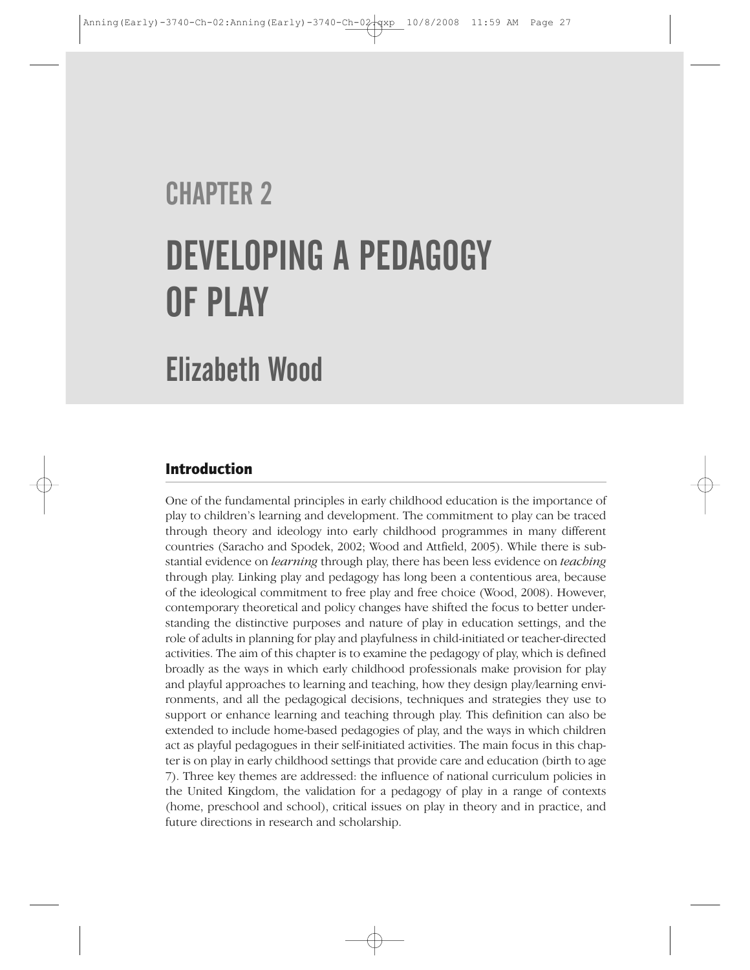# CHAPTER 2 DEVELOPING A PEDAGOGY OF PLAY

# Elizabeth Wood

# Introduction

One of the fundamental principles in early childhood education is the importance of play to children's learning and development. The commitment to play can be traced through theory and ideology into early childhood programmes in many different countries (Saracho and Spodek, 2002; Wood and Attfield, 2005). While there is substantial evidence on *learning* through play, there has been less evidence on *teaching* through play. Linking play and pedagogy has long been a contentious area, because of the ideological commitment to free play and free choice (Wood, 2008). However, contemporary theoretical and policy changes have shifted the focus to better understanding the distinctive purposes and nature of play in education settings, and the role of adults in planning for play and playfulness in child-initiated or teacher-directed activities. The aim of this chapter is to examine the pedagogy of play, which is defined broadly as the ways in which early childhood professionals make provision for play and playful approaches to learning and teaching, how they design play/learning environments, and all the pedagogical decisions, techniques and strategies they use to support or enhance learning and teaching through play. This definition can also be extended to include home-based pedagogies of play, and the ways in which children act as playful pedagogues in their self-initiated activities. The main focus in this chapter is on play in early childhood settings that provide care and education (birth to age 7). Three key themes are addressed: the influence of national curriculum policies in the United Kingdom, the validation for a pedagogy of play in a range of contexts (home, preschool and school), critical issues on play in theory and in practice, and future directions in research and scholarship.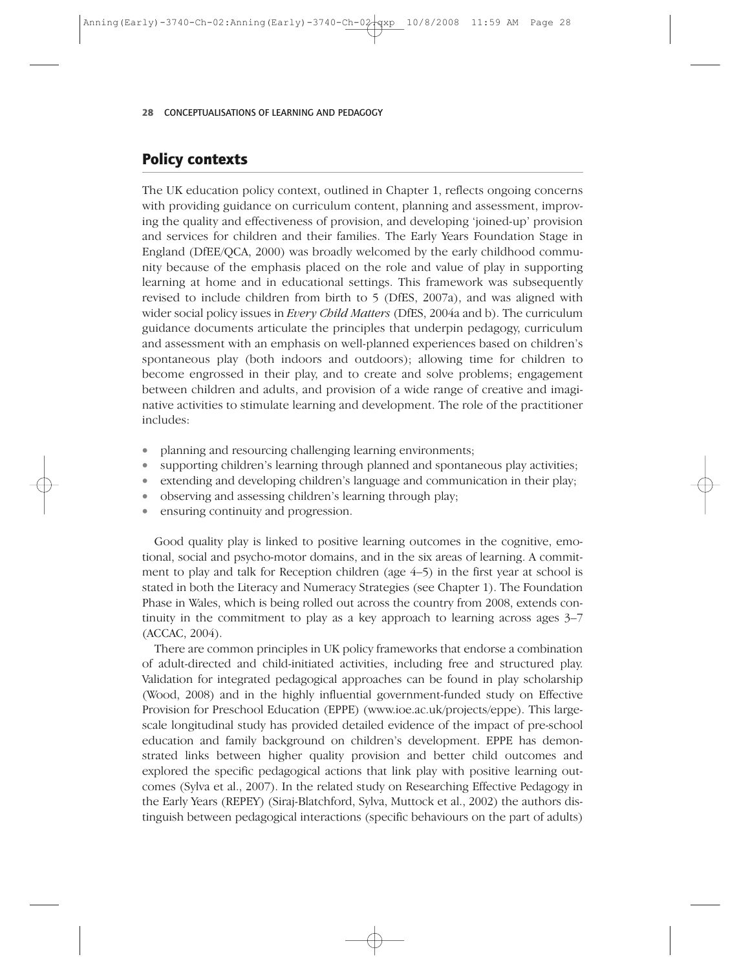# Policy contexts

The UK education policy context, outlined in Chapter 1, reflects ongoing concerns with providing guidance on curriculum content, planning and assessment, improving the quality and effectiveness of provision, and developing 'joined-up' provision and services for children and their families. The Early Years Foundation Stage in England (DfEE/QCA, 2000) was broadly welcomed by the early childhood community because of the emphasis placed on the role and value of play in supporting learning at home and in educational settings. This framework was subsequently revised to include children from birth to 5 (DfES, 2007a), and was aligned with wider social policy issues in *Every Child Matters* (DfES, 2004a and b). The curriculum guidance documents articulate the principles that underpin pedagogy, curriculum and assessment with an emphasis on well-planned experiences based on children's spontaneous play (both indoors and outdoors); allowing time for children to become engrossed in their play, and to create and solve problems; engagement between children and adults, and provision of a wide range of creative and imaginative activities to stimulate learning and development. The role of the practitioner includes:

- planning and resourcing challenging learning environments;
- supporting children's learning through planned and spontaneous play activities;
- extending and developing children's language and communication in their play;
- observing and assessing children's learning through play;
- ensuring continuity and progression.

Good quality play is linked to positive learning outcomes in the cognitive, emotional, social and psycho-motor domains, and in the six areas of learning. A commitment to play and talk for Reception children (age 4–5) in the first year at school is stated in both the Literacy and Numeracy Strategies (see Chapter 1). The Foundation Phase in Wales, which is being rolled out across the country from 2008, extends continuity in the commitment to play as a key approach to learning across ages 3–7 (ACCAC, 2004).

There are common principles in UK policy frameworks that endorse a combination of adult-directed and child-initiated activities, including free and structured play. Validation for integrated pedagogical approaches can be found in play scholarship (Wood, 2008) and in the highly influential government-funded study on Effective Provision for Preschool Education (EPPE) (www.ioe.ac.uk/projects/eppe). This largescale longitudinal study has provided detailed evidence of the impact of pre-school education and family background on children's development. EPPE has demonstrated links between higher quality provision and better child outcomes and explored the specific pedagogical actions that link play with positive learning outcomes (Sylva et al., 2007). In the related study on Researching Effective Pedagogy in the Early Years (REPEY) (Siraj-Blatchford, Sylva, Muttock et al., 2002) the authors distinguish between pedagogical interactions (specific behaviours on the part of adults)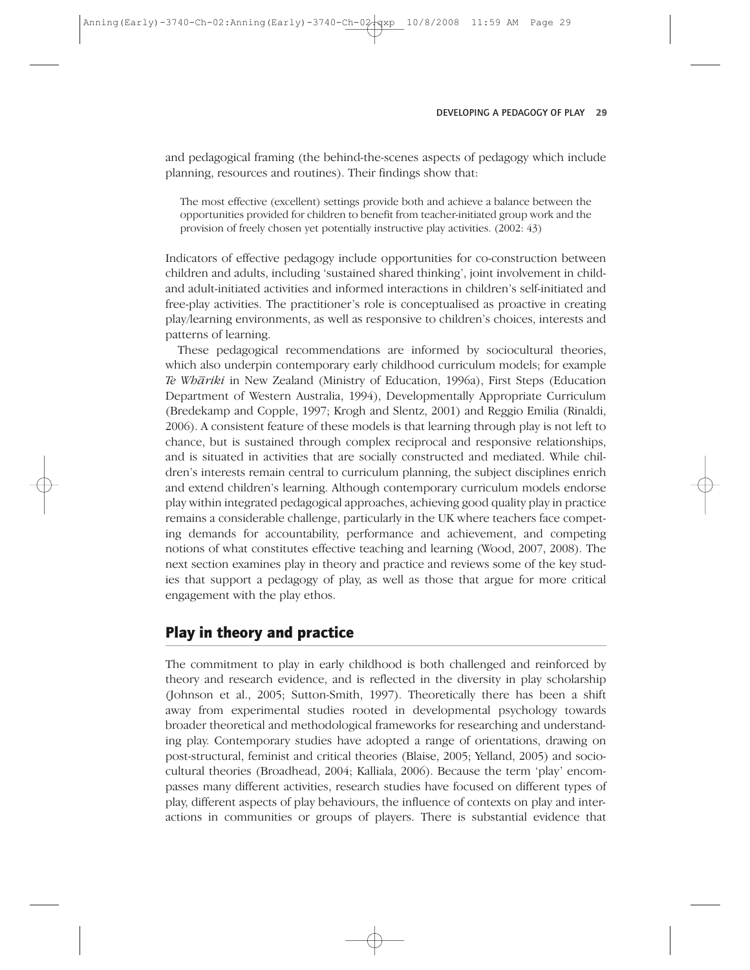and pedagogical framing (the behind-the-scenes aspects of pedagogy which include planning, resources and routines). Their findings show that:

The most effective (excellent) settings provide both and achieve a balance between the opportunities provided for children to benefit from teacher-initiated group work and the provision of freely chosen yet potentially instructive play activities. (2002: 43)

Indicators of effective pedagogy include opportunities for co-construction between children and adults, including 'sustained shared thinking', joint involvement in childand adult-initiated activities and informed interactions in children's self-initiated and free-play activities. The practitioner's role is conceptualised as proactive in creating play/learning environments, as well as responsive to children's choices, interests and patterns of learning.

These pedagogical recommendations are informed by sociocultural theories, which also underpin contemporary early childhood curriculum models; for example *Te Wha*–*riki* in New Zealand (Ministry of Education, 1996a), First Steps (Education Department of Western Australia, 1994), Developmentally Appropriate Curriculum (Bredekamp and Copple, 1997; Krogh and Slentz, 2001) and Reggio Emilia (Rinaldi, 2006). A consistent feature of these models is that learning through play is not left to chance, but is sustained through complex reciprocal and responsive relationships, and is situated in activities that are socially constructed and mediated. While children's interests remain central to curriculum planning, the subject disciplines enrich and extend children's learning. Although contemporary curriculum models endorse play within integrated pedagogical approaches, achieving good quality play in practice remains a considerable challenge, particularly in the UK where teachers face competing demands for accountability, performance and achievement, and competing notions of what constitutes effective teaching and learning (Wood, 2007, 2008). The next section examines play in theory and practice and reviews some of the key studies that support a pedagogy of play, as well as those that argue for more critical engagement with the play ethos.

# Play in theory and practice

The commitment to play in early childhood is both challenged and reinforced by theory and research evidence, and is reflected in the diversity in play scholarship (Johnson et al., 2005; Sutton-Smith, 1997). Theoretically there has been a shift away from experimental studies rooted in developmental psychology towards broader theoretical and methodological frameworks for researching and understanding play. Contemporary studies have adopted a range of orientations, drawing on post-structural, feminist and critical theories (Blaise, 2005; Yelland, 2005) and sociocultural theories (Broadhead, 2004; Kalliala, 2006). Because the term 'play' encompasses many different activities, research studies have focused on different types of play, different aspects of play behaviours, the influence of contexts on play and interactions in communities or groups of players. There is substantial evidence that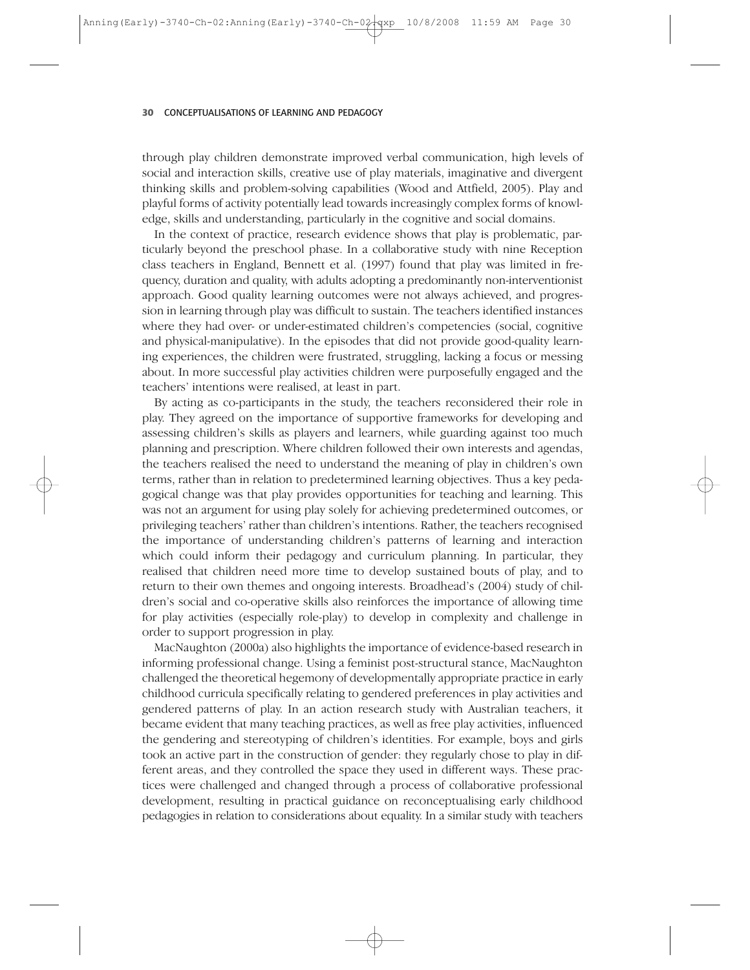through play children demonstrate improved verbal communication, high levels of social and interaction skills, creative use of play materials, imaginative and divergent thinking skills and problem-solving capabilities (Wood and Attfield, 2005). Play and playful forms of activity potentially lead towards increasingly complex forms of knowledge, skills and understanding, particularly in the cognitive and social domains.

In the context of practice, research evidence shows that play is problematic, particularly beyond the preschool phase. In a collaborative study with nine Reception class teachers in England, Bennett et al. (1997) found that play was limited in frequency, duration and quality, with adults adopting a predominantly non-interventionist approach. Good quality learning outcomes were not always achieved, and progression in learning through play was difficult to sustain. The teachers identified instances where they had over- or under-estimated children's competencies (social, cognitive and physical-manipulative). In the episodes that did not provide good-quality learning experiences, the children were frustrated, struggling, lacking a focus or messing about. In more successful play activities children were purposefully engaged and the teachers' intentions were realised, at least in part.

By acting as co-participants in the study, the teachers reconsidered their role in play. They agreed on the importance of supportive frameworks for developing and assessing children's skills as players and learners, while guarding against too much planning and prescription. Where children followed their own interests and agendas, the teachers realised the need to understand the meaning of play in children's own terms, rather than in relation to predetermined learning objectives. Thus a key pedagogical change was that play provides opportunities for teaching and learning. This was not an argument for using play solely for achieving predetermined outcomes, or privileging teachers' rather than children's intentions. Rather, the teachers recognised the importance of understanding children's patterns of learning and interaction which could inform their pedagogy and curriculum planning. In particular, they realised that children need more time to develop sustained bouts of play, and to return to their own themes and ongoing interests. Broadhead's (2004) study of children's social and co-operative skills also reinforces the importance of allowing time for play activities (especially role-play) to develop in complexity and challenge in order to support progression in play.

MacNaughton (2000a) also highlights the importance of evidence-based research in informing professional change. Using a feminist post-structural stance, MacNaughton challenged the theoretical hegemony of developmentally appropriate practice in early childhood curricula specifically relating to gendered preferences in play activities and gendered patterns of play. In an action research study with Australian teachers, it became evident that many teaching practices, as well as free play activities, influenced the gendering and stereotyping of children's identities. For example, boys and girls took an active part in the construction of gender: they regularly chose to play in different areas, and they controlled the space they used in different ways. These practices were challenged and changed through a process of collaborative professional development, resulting in practical guidance on reconceptualising early childhood pedagogies in relation to considerations about equality. In a similar study with teachers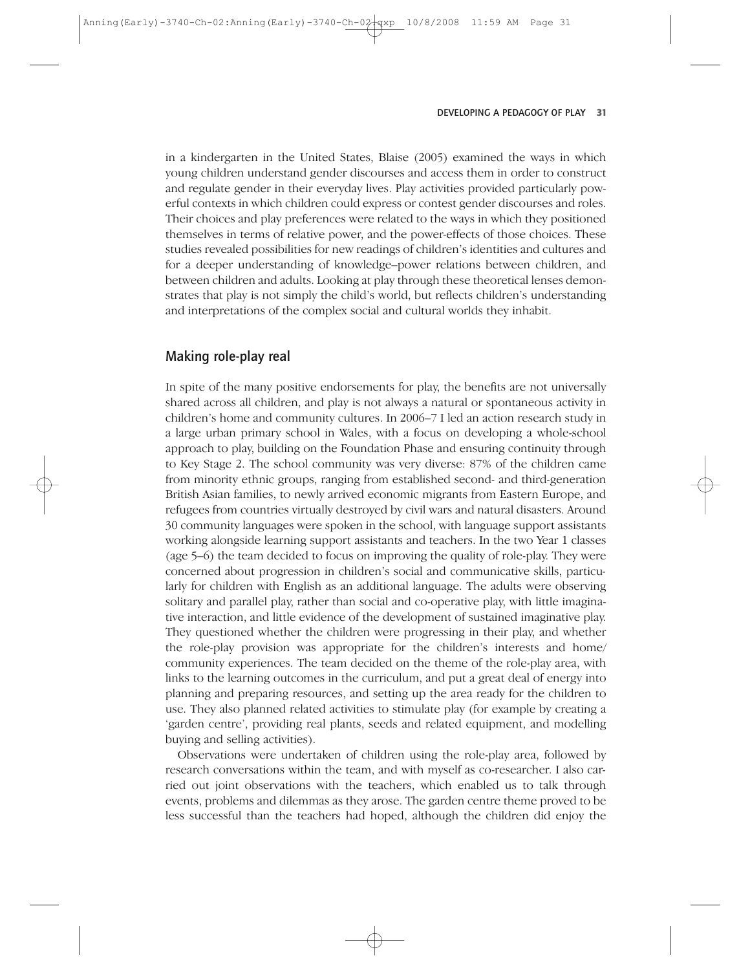in a kindergarten in the United States, Blaise (2005) examined the ways in which young children understand gender discourses and access them in order to construct and regulate gender in their everyday lives. Play activities provided particularly powerful contexts in which children could express or contest gender discourses and roles. Their choices and play preferences were related to the ways in which they positioned themselves in terms of relative power, and the power-effects of those choices. These studies revealed possibilities for new readings of children's identities and cultures and for a deeper understanding of knowledge–power relations between children, and between children and adults. Looking at play through these theoretical lenses demonstrates that play is not simply the child's world, but reflects children's understanding and interpretations of the complex social and cultural worlds they inhabit.

# Making role-play real

In spite of the many positive endorsements for play, the benefits are not universally shared across all children, and play is not always a natural or spontaneous activity in children's home and community cultures. In 2006–7 I led an action research study in a large urban primary school in Wales, with a focus on developing a whole-school approach to play, building on the Foundation Phase and ensuring continuity through to Key Stage 2. The school community was very diverse: 87% of the children came from minority ethnic groups, ranging from established second- and third-generation British Asian families, to newly arrived economic migrants from Eastern Europe, and refugees from countries virtually destroyed by civil wars and natural disasters. Around 30 community languages were spoken in the school, with language support assistants working alongside learning support assistants and teachers. In the two Year 1 classes (age 5–6) the team decided to focus on improving the quality of role-play. They were concerned about progression in children's social and communicative skills, particularly for children with English as an additional language. The adults were observing solitary and parallel play, rather than social and co-operative play, with little imaginative interaction, and little evidence of the development of sustained imaginative play. They questioned whether the children were progressing in their play, and whether the role-play provision was appropriate for the children's interests and home/ community experiences. The team decided on the theme of the role-play area, with links to the learning outcomes in the curriculum, and put a great deal of energy into planning and preparing resources, and setting up the area ready for the children to use. They also planned related activities to stimulate play (for example by creating a 'garden centre', providing real plants, seeds and related equipment, and modelling buying and selling activities).

Observations were undertaken of children using the role-play area, followed by research conversations within the team, and with myself as co-researcher. I also carried out joint observations with the teachers, which enabled us to talk through events, problems and dilemmas as they arose. The garden centre theme proved to be less successful than the teachers had hoped, although the children did enjoy the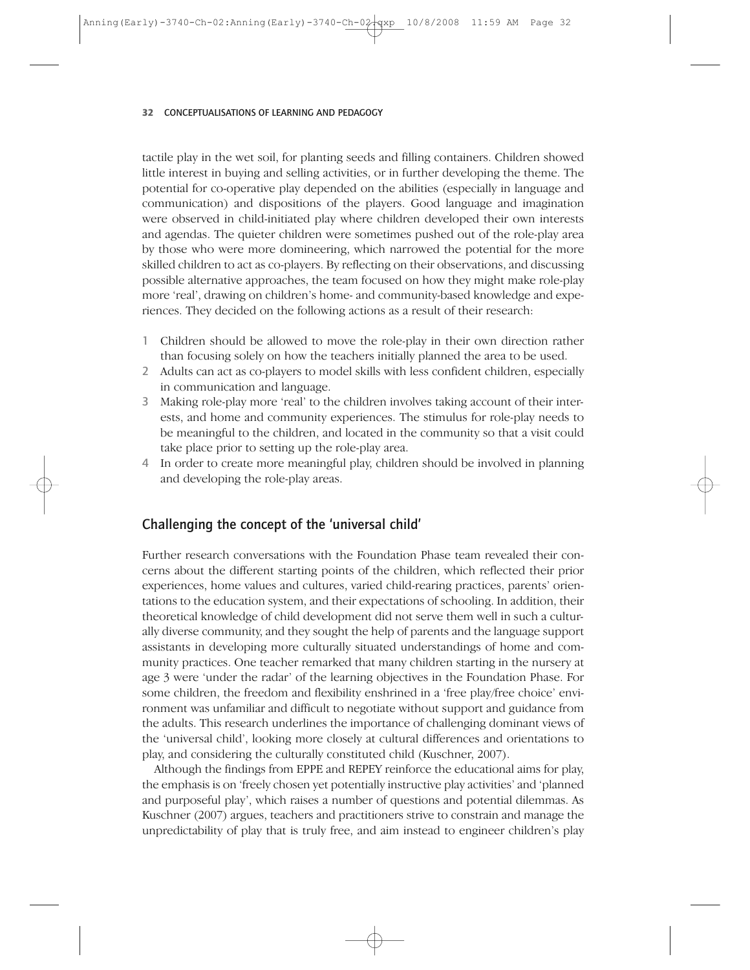tactile play in the wet soil, for planting seeds and filling containers. Children showed little interest in buying and selling activities, or in further developing the theme. The potential for co-operative play depended on the abilities (especially in language and communication) and dispositions of the players. Good language and imagination were observed in child-initiated play where children developed their own interests and agendas. The quieter children were sometimes pushed out of the role-play area by those who were more domineering, which narrowed the potential for the more skilled children to act as co-players. By reflecting on their observations, and discussing possible alternative approaches, the team focused on how they might make role-play more 'real', drawing on children's home- and community-based knowledge and experiences. They decided on the following actions as a result of their research:

- 1 Children should be allowed to move the role-play in their own direction rather than focusing solely on how the teachers initially planned the area to be used.
- 2 Adults can act as co-players to model skills with less confident children, especially in communication and language.
- 3 Making role-play more 'real' to the children involves taking account of their interests, and home and community experiences. The stimulus for role-play needs to be meaningful to the children, and located in the community so that a visit could take place prior to setting up the role-play area.
- 4 In order to create more meaningful play, children should be involved in planning and developing the role-play areas.

#### Challenging the concept of the 'universal child'

Further research conversations with the Foundation Phase team revealed their concerns about the different starting points of the children, which reflected their prior experiences, home values and cultures, varied child-rearing practices, parents' orientations to the education system, and their expectations of schooling. In addition, their theoretical knowledge of child development did not serve them well in such a culturally diverse community, and they sought the help of parents and the language support assistants in developing more culturally situated understandings of home and community practices. One teacher remarked that many children starting in the nursery at age 3 were 'under the radar' of the learning objectives in the Foundation Phase. For some children, the freedom and flexibility enshrined in a 'free play/free choice' environment was unfamiliar and difficult to negotiate without support and guidance from the adults. This research underlines the importance of challenging dominant views of the 'universal child', looking more closely at cultural differences and orientations to play, and considering the culturally constituted child (Kuschner, 2007).

Although the findings from EPPE and REPEY reinforce the educational aims for play, the emphasis is on 'freely chosen yet potentially instructive play activities' and 'planned and purposeful play', which raises a number of questions and potential dilemmas. As Kuschner (2007) argues, teachers and practitioners strive to constrain and manage the unpredictability of play that is truly free, and aim instead to engineer children's play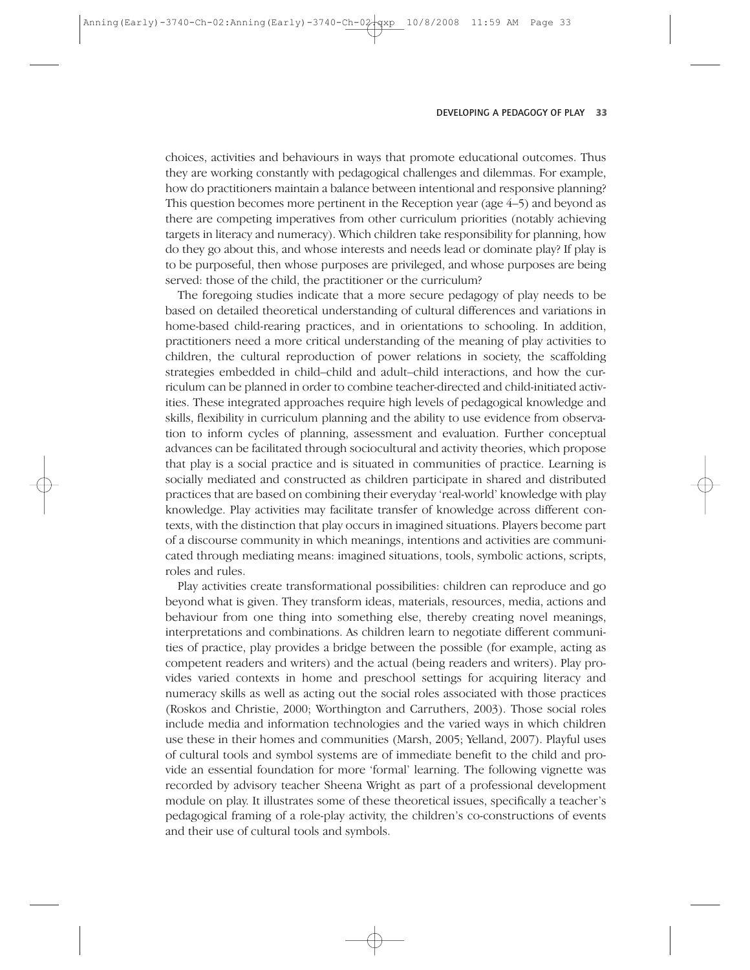choices, activities and behaviours in ways that promote educational outcomes. Thus they are working constantly with pedagogical challenges and dilemmas. For example, how do practitioners maintain a balance between intentional and responsive planning? This question becomes more pertinent in the Reception year (age 4–5) and beyond as there are competing imperatives from other curriculum priorities (notably achieving targets in literacy and numeracy). Which children take responsibility for planning, how do they go about this, and whose interests and needs lead or dominate play? If play is to be purposeful, then whose purposes are privileged, and whose purposes are being served: those of the child, the practitioner or the curriculum?

The foregoing studies indicate that a more secure pedagogy of play needs to be based on detailed theoretical understanding of cultural differences and variations in home-based child-rearing practices, and in orientations to schooling. In addition, practitioners need a more critical understanding of the meaning of play activities to children, the cultural reproduction of power relations in society, the scaffolding strategies embedded in child–child and adult–child interactions, and how the curriculum can be planned in order to combine teacher-directed and child-initiated activities. These integrated approaches require high levels of pedagogical knowledge and skills, flexibility in curriculum planning and the ability to use evidence from observation to inform cycles of planning, assessment and evaluation. Further conceptual advances can be facilitated through sociocultural and activity theories, which propose that play is a social practice and is situated in communities of practice. Learning is socially mediated and constructed as children participate in shared and distributed practices that are based on combining their everyday 'real-world' knowledge with play knowledge. Play activities may facilitate transfer of knowledge across different contexts, with the distinction that play occurs in imagined situations. Players become part of a discourse community in which meanings, intentions and activities are communicated through mediating means: imagined situations, tools, symbolic actions, scripts, roles and rules.

Play activities create transformational possibilities: children can reproduce and go beyond what is given. They transform ideas, materials, resources, media, actions and behaviour from one thing into something else, thereby creating novel meanings, interpretations and combinations. As children learn to negotiate different communities of practice, play provides a bridge between the possible (for example, acting as competent readers and writers) and the actual (being readers and writers). Play provides varied contexts in home and preschool settings for acquiring literacy and numeracy skills as well as acting out the social roles associated with those practices (Roskos and Christie, 2000; Worthington and Carruthers, 2003). Those social roles include media and information technologies and the varied ways in which children use these in their homes and communities (Marsh, 2005; Yelland, 2007). Playful uses of cultural tools and symbol systems are of immediate benefit to the child and provide an essential foundation for more 'formal' learning. The following vignette was recorded by advisory teacher Sheena Wright as part of a professional development module on play. It illustrates some of these theoretical issues, specifically a teacher's pedagogical framing of a role-play activity, the children's co-constructions of events and their use of cultural tools and symbols.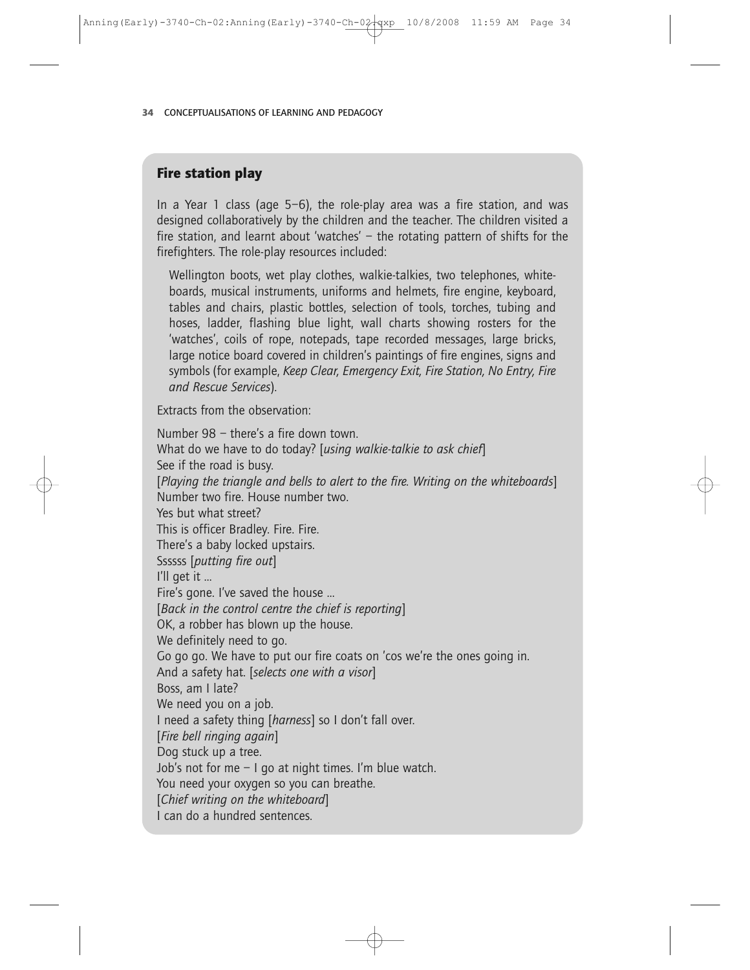# Fire station play

In a Year 1 class (age 5–6), the role-play area was a fire station, and was designed collaboratively by the children and the teacher. The children visited a fire station, and learnt about 'watches' – the rotating pattern of shifts for the firefighters. The role-play resources included:

Wellington boots, wet play clothes, walkie-talkies, two telephones, whiteboards, musical instruments, uniforms and helmets, fire engine, keyboard, tables and chairs, plastic bottles, selection of tools, torches, tubing and hoses, ladder, flashing blue light, wall charts showing rosters for the 'watches', coils of rope, notepads, tape recorded messages, large bricks, large notice board covered in children's paintings of fire engines, signs and symbols (for example, *Keep Clear, Emergency Exit, Fire Station, No Entry, Fire and Rescue Services*).

Extracts from the observation:

Number 98 – there's a fire down town. What do we have to do today? [*using walkie-talkie to ask chief*] See if the road is busy. [*Playing the triangle and bells to alert to the fire. Writing on the whiteboards*] Number two fire. House number two. Yes but what street? This is officer Bradley. Fire. Fire. There's a baby locked upstairs. Ssssss [*putting fire out*] I'll get it … Fire's gone. I've saved the house … [*Back in the control centre the chief is reporting*] OK, a robber has blown up the house. We definitely need to go. Go go go. We have to put our fire coats on 'cos we're the ones going in. And a safety hat. [*selects one with a visor*] Boss, am I late? We need you on a job. I need a safety thing [*harness*] so I don't fall over. [*Fire bell ringing again*] Dog stuck up a tree. Job's not for me – I go at night times. I'm blue watch. You need your oxygen so you can breathe. [*Chief writing on the whiteboard*]

I can do a hundred sentences.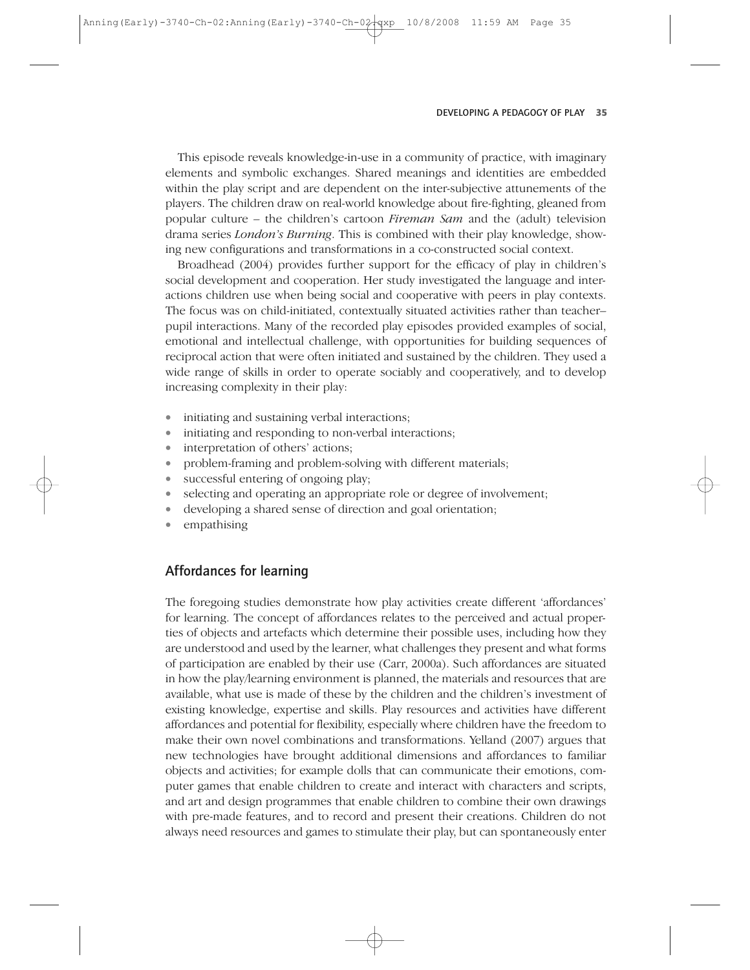This episode reveals knowledge-in-use in a community of practice, with imaginary elements and symbolic exchanges. Shared meanings and identities are embedded within the play script and are dependent on the inter-subjective attunements of the players. The children draw on real-world knowledge about fire-fighting, gleaned from popular culture – the children's cartoon *Fireman Sam* and the (adult) television drama series *London's Burning*. This is combined with their play knowledge, showing new configurations and transformations in a co-constructed social context.

Broadhead (2004) provides further support for the efficacy of play in children's social development and cooperation. Her study investigated the language and interactions children use when being social and cooperative with peers in play contexts. The focus was on child-initiated, contextually situated activities rather than teacher– pupil interactions. Many of the recorded play episodes provided examples of social, emotional and intellectual challenge, with opportunities for building sequences of reciprocal action that were often initiated and sustained by the children. They used a wide range of skills in order to operate sociably and cooperatively, and to develop increasing complexity in their play:

- initiating and sustaining verbal interactions;
- initiating and responding to non-verbal interactions;
- interpretation of others' actions;
- problem-framing and problem-solving with different materials;
- successful entering of ongoing play;
- selecting and operating an appropriate role or degree of involvement;
- developing a shared sense of direction and goal orientation;
- empathising

# Affordances for learning

The foregoing studies demonstrate how play activities create different 'affordances' for learning. The concept of affordances relates to the perceived and actual properties of objects and artefacts which determine their possible uses, including how they are understood and used by the learner, what challenges they present and what forms of participation are enabled by their use (Carr, 2000a). Such affordances are situated in how the play/learning environment is planned, the materials and resources that are available, what use is made of these by the children and the children's investment of existing knowledge, expertise and skills. Play resources and activities have different affordances and potential for flexibility, especially where children have the freedom to make their own novel combinations and transformations. Yelland (2007) argues that new technologies have brought additional dimensions and affordances to familiar objects and activities; for example dolls that can communicate their emotions, computer games that enable children to create and interact with characters and scripts, and art and design programmes that enable children to combine their own drawings with pre-made features, and to record and present their creations. Children do not always need resources and games to stimulate their play, but can spontaneously enter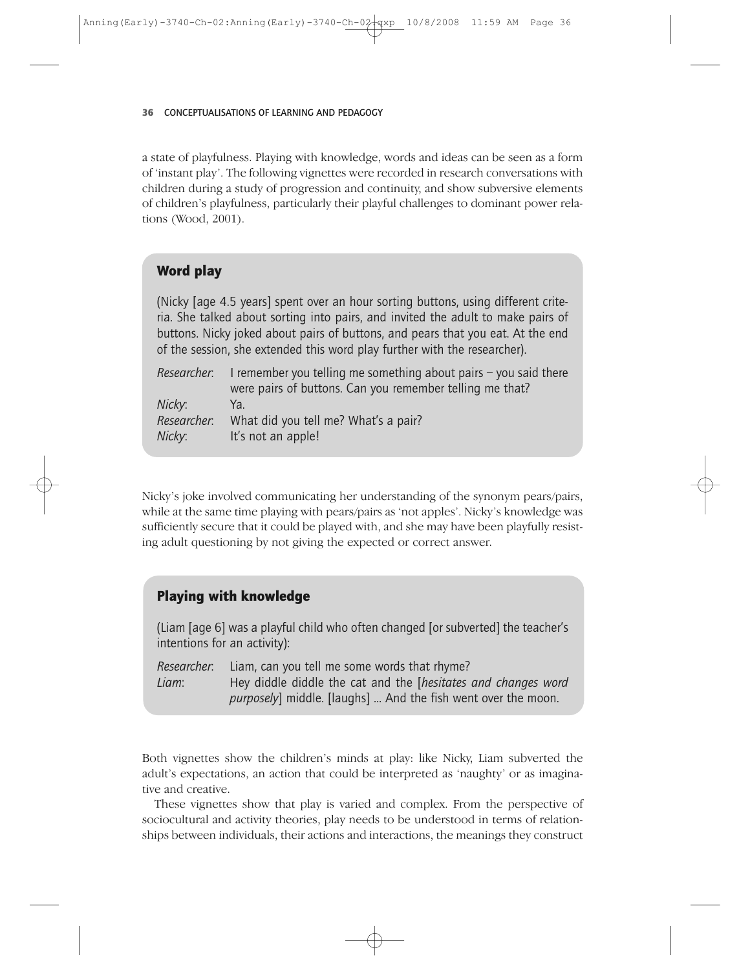a state of playfulness. Playing with knowledge, words and ideas can be seen as a form of 'instant play'. The following vignettes were recorded in research conversations with children during a study of progression and continuity, and show subversive elements of children's playfulness, particularly their playful challenges to dominant power relations (Wood, 2001).

# Word play

(Nicky [age 4.5 years] spent over an hour sorting buttons, using different criteria. She talked about sorting into pairs, and invited the adult to make pairs of buttons. Nicky joked about pairs of buttons, and pears that you eat. At the end of the session, she extended this word play further with the researcher).

| Researcher. | I remember you telling me something about pairs $-$ you said there |
|-------------|--------------------------------------------------------------------|
|             | were pairs of buttons. Can you remember telling me that?           |
| Nicky:      | Ya.                                                                |
| Researcher. | What did you tell me? What's a pair?                               |
| Nicky:      | It's not an apple!                                                 |

Nicky's joke involved communicating her understanding of the synonym pears/pairs, while at the same time playing with pears/pairs as 'not apples'. Nicky's knowledge was sufficiently secure that it could be played with, and she may have been playfully resisting adult questioning by not giving the expected or correct answer.

#### Playing with knowledge

(Liam [age 6] was a playful child who often changed [or subverted] the teacher's intentions for an activity):

*Researcher*: Liam, can you tell me some words that rhyme? *Liam*: Hey diddle diddle the cat and the [*hesitates and changes word purposely*] middle. [laughs] … And the fish went over the moon.

Both vignettes show the children's minds at play: like Nicky, Liam subverted the adult's expectations, an action that could be interpreted as 'naughty' or as imaginative and creative.

These vignettes show that play is varied and complex. From the perspective of sociocultural and activity theories, play needs to be understood in terms of relationships between individuals, their actions and interactions, the meanings they construct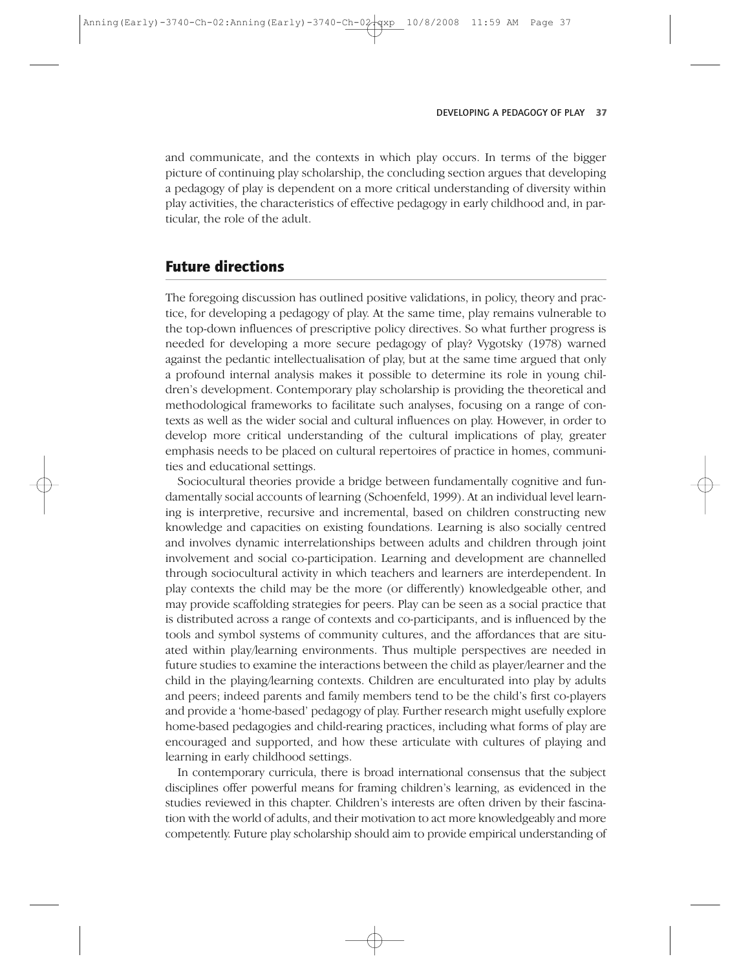and communicate, and the contexts in which play occurs. In terms of the bigger picture of continuing play scholarship, the concluding section argues that developing a pedagogy of play is dependent on a more critical understanding of diversity within play activities, the characteristics of effective pedagogy in early childhood and, in particular, the role of the adult.

# Future directions

The foregoing discussion has outlined positive validations, in policy, theory and practice, for developing a pedagogy of play. At the same time, play remains vulnerable to the top-down influences of prescriptive policy directives. So what further progress is needed for developing a more secure pedagogy of play? Vygotsky (1978) warned against the pedantic intellectualisation of play, but at the same time argued that only a profound internal analysis makes it possible to determine its role in young children's development. Contemporary play scholarship is providing the theoretical and methodological frameworks to facilitate such analyses, focusing on a range of contexts as well as the wider social and cultural influences on play. However, in order to develop more critical understanding of the cultural implications of play, greater emphasis needs to be placed on cultural repertoires of practice in homes, communities and educational settings.

Sociocultural theories provide a bridge between fundamentally cognitive and fundamentally social accounts of learning (Schoenfeld, 1999). At an individual level learning is interpretive, recursive and incremental, based on children constructing new knowledge and capacities on existing foundations. Learning is also socially centred and involves dynamic interrelationships between adults and children through joint involvement and social co-participation. Learning and development are channelled through sociocultural activity in which teachers and learners are interdependent. In play contexts the child may be the more (or differently) knowledgeable other, and may provide scaffolding strategies for peers. Play can be seen as a social practice that is distributed across a range of contexts and co-participants, and is influenced by the tools and symbol systems of community cultures, and the affordances that are situated within play/learning environments. Thus multiple perspectives are needed in future studies to examine the interactions between the child as player/learner and the child in the playing/learning contexts. Children are enculturated into play by adults and peers; indeed parents and family members tend to be the child's first co-players and provide a 'home-based' pedagogy of play. Further research might usefully explore home-based pedagogies and child-rearing practices, including what forms of play are encouraged and supported, and how these articulate with cultures of playing and learning in early childhood settings.

In contemporary curricula, there is broad international consensus that the subject disciplines offer powerful means for framing children's learning, as evidenced in the studies reviewed in this chapter. Children's interests are often driven by their fascination with the world of adults, and their motivation to act more knowledgeably and more competently. Future play scholarship should aim to provide empirical understanding of